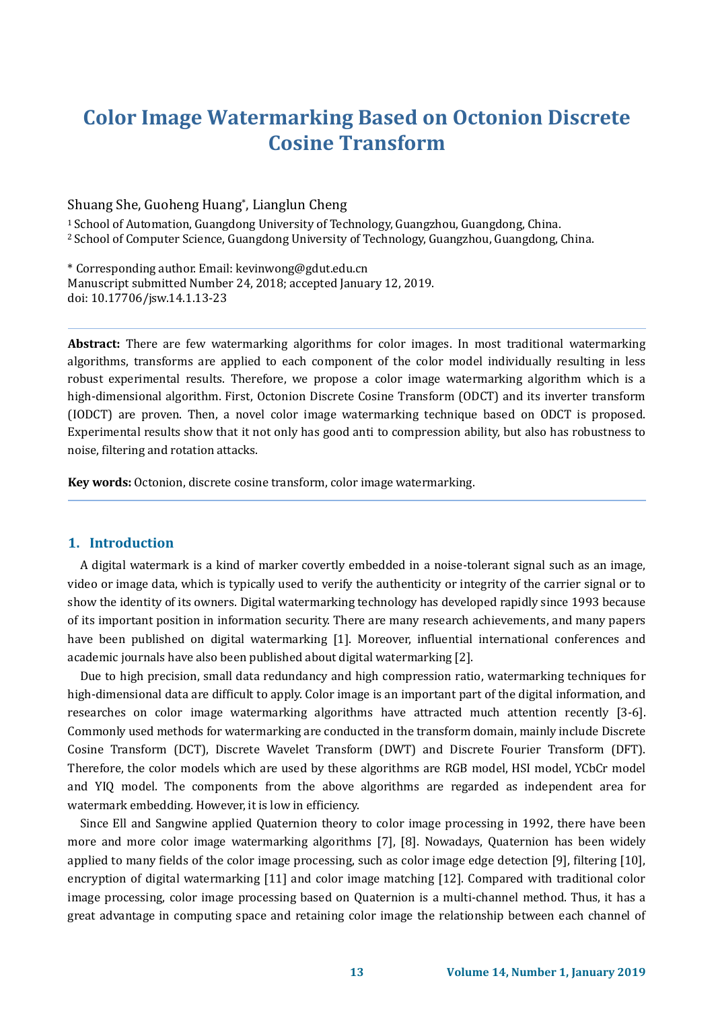# **Color Image Watermarking Based on Octonion Discrete Cosine Transform**

#### Shuang She, Guoheng Huang\* , Lianglun Cheng

<sup>1</sup>School of Automation, Guangdong University of Technology, Guangzhou, Guangdong, China. <sup>2</sup> School of Computer Science, Guangdong University of Technology, Guangzhou, Guangdong, China.

\* Corresponding author. Email: kevinwong@gdut.edu.cn Manuscript submitted Number 24, 2018; accepted January 12, 2019. doi: 10.17706/jsw.14.1.13-23

**Abstract:** There are few watermarking algorithms for color images. In most traditional watermarking algorithms, transforms are applied to each component of the color model individually resulting in less robust experimental results. Therefore, we propose a color image watermarking algorithm which is a high-dimensional algorithm. First, Octonion Discrete Cosine Transform (ODCT) and its inverter transform (IODCT) are proven. Then, a novel color image watermarking technique based on ODCT is proposed. Experimental results show that it not only has good anti to compression ability, but also has robustness to noise, filtering and rotation attacks.

**Key words:** Octonion, discrete cosine transform, color image watermarking.

### **1. Introduction**

A digital watermark is a kind of marker covertly embedded in a noise-tolerant signal such as an image, video or image data, which is typically used to verify the authenticity or integrity of the carrier signal or to show the identity of its owners. Digital watermarking technology has developed rapidly since 1993 because of its important position in information security. There are many research achievements, and many papers have been published on digital watermarking [1]. Moreover, influential international conferences and academic journals have also been published about digital watermarking [2].

Due to high precision, small data redundancy and high compression ratio, watermarking techniques for high-dimensional data are difficult to apply. Color image is an important part of the digital information, and researches on color image watermarking algorithms have attracted much attention recently [3-6]. Commonly used methods for watermarking are conducted in the transform domain, mainly include Discrete Cosine Transform (DCT), Discrete Wavelet Transform (DWT) and Discrete Fourier Transform (DFT). Therefore, the color models which are used by these algorithms are RGB model, HSI model, YCbCr model and YIQ model. The components from the above algorithms are regarded as independent area for watermark embedding. However, it is low in efficiency.

Since Ell and Sangwine applied Quaternion theory to color image processing in 1992, there have been more and more color image watermarking algorithms [7], [8]. Nowadays, Quaternion has been widely applied to many fields of the color image processing, such as color image edge detection [9], filtering [10], encryption of digital watermarking [11] and color image matching [12]. Compared with traditional color image processing, color image processing based on Quaternion is a multi-channel method. Thus, it has a great advantage in computing space and retaining color image the relationship between each channel of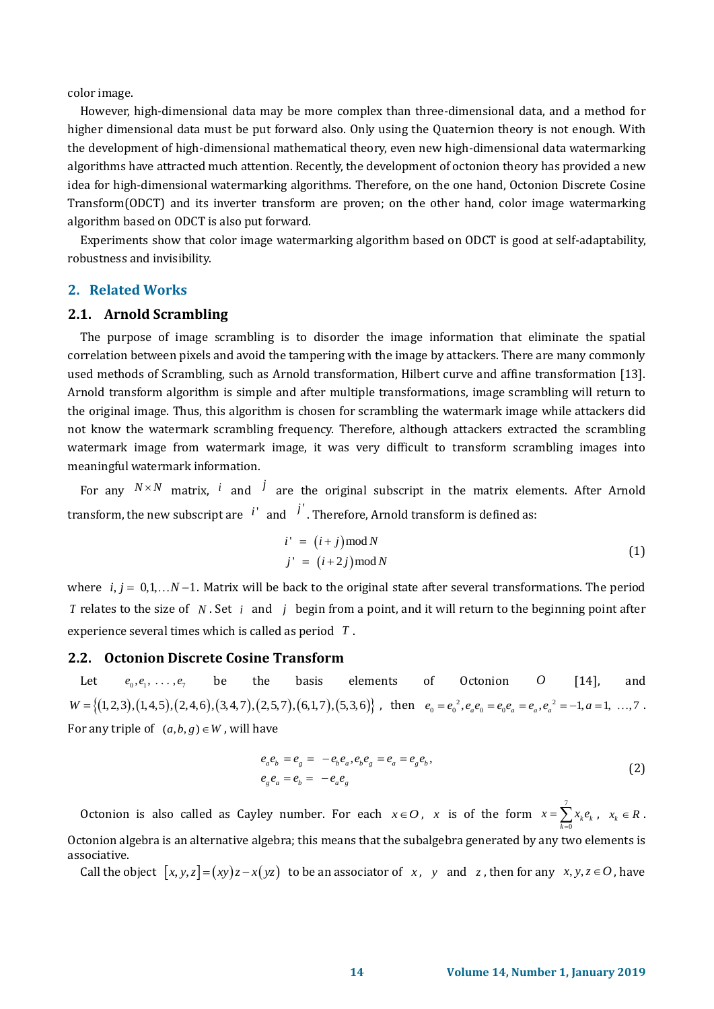color image.

However, high-dimensional data may be more complex than three-dimensional data, and a method for higher dimensional data must be put forward also. Only using the Quaternion theory is not enough. With the development of high-dimensional mathematical theory, even new high-dimensional data watermarking algorithms have attracted much attention. Recently, the development of octonion theory has provided a new idea for high-dimensional watermarking algorithms. Therefore, on the one hand, Octonion Discrete Cosine Transform(ODCT) and its inverter transform are proven; on the other hand, color image watermarking algorithm based on ODCT is also put forward.

Experiments show that color image watermarking algorithm based on ODCT is good at self-adaptability, robustness and invisibility.

#### **2. Related Works**

## **2.1. Arnold Scrambling**

The purpose of image scrambling is to disorder the image information that eliminate the spatial correlation between pixels and avoid the tampering with the image by attackers. There are many commonly used methods of Scrambling, such as Arnold transformation, Hilbert curve and affine transformation [13]. Arnold transform algorithm is simple and after multiple transformations, image scrambling will return to the original image. Thus, this algorithm is chosen for scrambling the watermark image while attackers did not know the watermark scrambling frequency. Therefore, although attackers extracted the scrambling watermark image from watermark image, it was very difficult to transform scrambling images into meaningful watermark information.

For any  $N \times N$  matrix, *i* and *j* are the original subscript in the matrix elements. After Arnold transform, the new subscript are  $\left| i^{\prime} \right|$  and  $\left| j^{\prime} \right|$ . Therefore, Arnold transform is defined as:

$$
i' = (i + j) \mod N
$$
  
\n
$$
j' = (i + 2j) \mod N
$$
 (1)

where  $i, j = 0, 1, \ldots N-1$ . Matrix will be back to the original state after several transformations. The period *T* relates to the size of N. Set *i* and *j* begin from a point, and it will return to the beginning point after experience several times which is called as period *T* .

# **2.2. Octonion Discrete Cosine Transform**

Let  $e_0, e_1, \ldots, e_7$ be the basis elements of Octonion *O* [\[14\]](#page-10-0), and Let  $e_0, e_1, ..., e_7$  be the basis elements of Octonion *O* [14], and  $W = \{(1,2,3), (1,4,5), (2,4,6), (3,4,7), (2,5,7), (6,1,7), (5,3,6)\}$ , then  $e_0 = e_0^2, e_a e_0 = e_0 e_a = e_a, e_a^2 = -1, a = 1, ..., 7$ . For any triple of  $(a, b, g) \in W$ , will have

$$
e_a e_b = e_g = -e_b e_a, e_b e_g = e_a = e_g e_b,
$$
  
\n
$$
e_g e_a = e_b = -e_a e_g
$$
\n(2)

Octonion is also called as Cayley number. For each  $x \in O$ , x is of the form  $x = \sum_{i=1}^{n}$  $\sum_{k=0}^{\infty}$ <sup>k</sup> $\epsilon_k$  $x = \sum x_i e$  $=\sum_{k=0} x_k e_k, \quad x_k \in R$ . Octonion algebra is an alternative algebra; this means that the subalgebra generated by any two elements is associative.

Call the object  $[x, y, z] = (xy)z - x(yz)$  to be an associator of x, y and z, then for any  $x, y, z \in O$ , have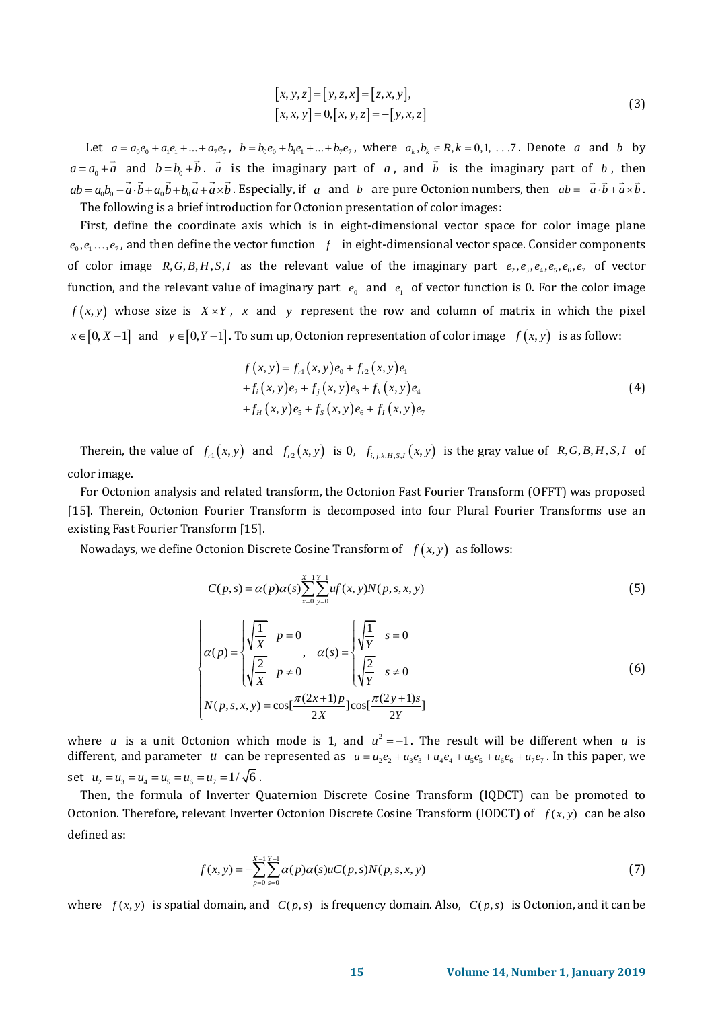$$
[x, y, z] = [y, z, x] = [z, x, y],
$$
  

$$
[x, x, y] = 0, [x, y, z] = -[y, x, z]
$$
 (3)

Let  $a = a_0e_0 + a_1e_1 + ... + a_7e_7$ ,  $b = b_0e_0 + b_1e_1 + ... + b_7e_7$ , where  $a_k, b_k \in R, k = 0, 1, ...7$ . Denote a and b by  $a = a_0 + a$  and  $b = b_0 + b$ . *a* is the imaginary part of *a*, and *b* is the imaginary part of *b*, then  $ab = a_0b_0 - \vec{a} \cdot \vec{b} + a_0\vec{b} + b_0\vec{a} + \vec{a} \times \vec{b}$ . Especially, if a and b are pure Octonion numbers, then  $ab = -\vec{a} \cdot \vec{b} + \vec{a} \times \vec{b}$ . The following is a brief introduction for Octonion presentation of color images:

First, define the coordinate axis which is in eight-dimensional vector space for color image plane  $e_0, e_1, \ldots, e_7$ , and then define the vector function  $f$  in eight-dimensional vector space. Consider components of color image  $R, G, B, H, S, I$  as the relevant value of the imaginary part  $e_1, e_3, e_4, e_5, e_6, e_7$  of vector function, and the relevant value of imaginary part  $e_0$  and  $e_1$  of vector function is 0. For the color image  $f(x, y)$  whose size is  $X \times Y$ , x and y represent the row and column of matrix in which the pixel  $x\in [0,X-1]$  and  $y\in [0,Y-1]$ . To sum up, Octonion representation of color image  $f\left( x,y\right)$  is as follow:

$$
f(x, y) = f_{r1}(x, y)e_0 + f_{r2}(x, y)e_1
$$
  
+  $f_i(x, y)e_2 + f_j(x, y)e_3 + f_k(x, y)e_4$   
+  $f_H(x, y)e_5 + f_S(x, y)e_6 + f_I(x, y)e_7$  (4)

Therein, the value of  $f_{r1}(x, y)$  and  $f_{r2}(x, y)$  is 0,  $f_{i,j,k,H,S,I}(x, y)$  is the gray value of  $R, G, B, H, S, I$  of color image.

For Octonion analysis and related transform, the Octonion Fast Fourier Transform (OFFT) was proposed [\[15\]](#page-10-1). Therein, Octonion Fourier Transform is decomposed into four Plural Fourier Transforms use an existing Fast Fourier Transform [\[15\]](#page-10-1).

Nowadays, we define Octonion Discrete Cosine Transform of  $f(x, y)$  as follows:

$$
C(p,s) = \alpha(p)\alpha(s) \sum_{x=0}^{X-1} \sum_{y=0}^{Y-1} u f(x, y) N(p, s, x, y)
$$
 (5)

$$
\alpha(p) = \begin{cases} \sqrt{\frac{1}{X}} & p = 0 \\ \sqrt{\frac{2}{X}} & p \neq 0 \end{cases}, \quad \alpha(s) = \begin{cases} \sqrt{\frac{1}{Y}} & s = 0 \\ \sqrt{\frac{2}{Y}} & s \neq 0 \end{cases}
$$
 (6)  

$$
N(p, s, x, y) = \cos[\frac{\pi(2x+1)p}{2X}]\cos[\frac{\pi(2y+1)s}{2Y}]
$$

where *u* is a unit Octonion which mode is 1, and  $u^2 = -1$ . The result will be different when *u* is where *u* is a unit Octonion which mode is 1, and  $u^2 = -1$ . The result will be different when *u* is different, and parameter *u* can be represented as  $u = u_2 e_2 + u_3 e_3 + u_4 e_4 + u_5 e_5 + u_6 e_6 + u_7 e_7$ . In this paper, we set  $u_2 = u_3 = u_4 = u_5 = u_6 = u_7 = 1/\sqrt{6}$ .

Then, the formula of Inverter Quaternion Discrete Cosine Transform (IQDCT) can be promoted to Octonion. Therefore, relevant Inverter Octonion Discrete Cosine Transform (IODCT) of  $f(x, y)$  can be also defined as:

$$
f(x, y) = -\sum_{p=0}^{X-1} \sum_{s=0}^{Y-1} \alpha(p)\alpha(s)uC(p, s)N(p, s, x, y)
$$
 (7)

where  $f(x, y)$  is spatial domain, and  $C(p, s)$  is frequency domain. Also,  $C(p, s)$  is Octonion, and it can be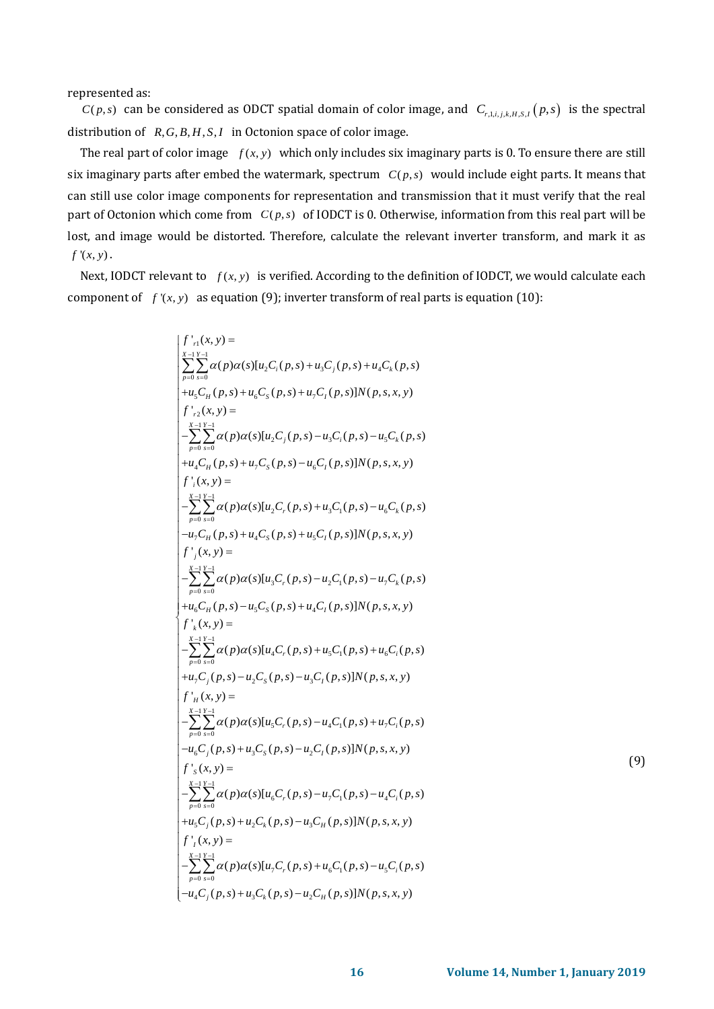represented as:

 $C(p,s)$  can be considered as ODCT spatial domain of color image, and  $C_{r,1,i,j,k,H,S,I}(p,s)$  is the spectral distribution of  $R, G, B, H, S, I$  in Octonion space of color image.

The real part of color image  $f(x, y)$  which only includes six imaginary parts is 0. To ensure there are still six imaginary parts after embed the watermark, spectrum  $C(p,s)$  would include eight parts. It means that can still use color image components for representation and transmission that it must verify that the real part of Octonion which come from  $C(p,s)$  of IODCT is 0. Otherwise, information from this real part will be lost, and image would be distorted. Therefore, calculate the relevant inverter transform, and mark it as  $f'(x, y)$ .

Next, IODCT relevant to  $f(x, y)$  is verified. According to the definition of IODCT, we would calculate each component of  $f(x, y)$  as equation (9); inverter transform of real parts is equation (10):

$$
\int_{\pi/2}^{r_{11}(X,y)} \sum_{\substack{y=1 \text{ s.t. } y=1}}^{X_{11}(X,y)} \alpha(p)a(s)[u_{2}C_{i}(p,s) + u_{3}C_{j}(p,s) + u_{4}C_{k}(p,s))\n+u_{4}C_{n}(p,s)]N(p,s,x,y)\n+u_{5}C_{n}(p,s) + u_{6}C_{n}(p,s)]N(p,s,x,y)\n+u_{5}C_{n}(p,s) + u_{5}C_{n}(p,s) - u_{5}C_{n}(p,s) - u_{5}C_{k}(p,s)\n+u_{4}C_{n}(p,s) + u_{5}C_{n}(p,s) - u_{6}C_{n}(p,s)]N(p,s,x,y)\n+u_{5}C_{n}(p,s) + u_{5}C_{n}(p,s) + u_{5}C_{n}(p,s) - u_{6}C_{k}(p,s)\n+u_{5}C_{n}(p,s) + u_{5}C_{n}(p,s) - u_{6}C_{k}(p,s)\n- u_{5}C_{n}(p,s) + u_{4}C_{n}(p,s) + u_{5}C_{n}(p,s)]N(p,s,x,y)\n+u_{5}C_{n}(p,s) + u_{5}C_{n}(p,s) - u_{5}C_{n}(p,s)\n+u_{6}C_{n}(p,s) - u_{5}C_{n}(p,s) - u_{5}C_{n}(p,s)\n+u_{6}C_{n}(p,s) - u_{5}C_{n}(p,s) + u_{6}C_{n}(p,s) + u_{6}C_{n}(p,s) + u_{6}C_{n}(p,s)\n+ u_{6}C_{n}(p,s) - u_{5}C_{n}(p,s) + u_{6}C_{n}(p,s) + u_{6}C_{n}(p,s)\n+ u_{5}C_{n}(p,s) - u_{5}C_{n}(p,s) + u_{5}C_{n}(p,s)\n+ u_{5}C_{n}(p,s) - u_{5}C_{n}(p,s) + u_{5}C_{n}(p,s)\n+ u_{5}C_{n}(p,s) - u_{5}C_{n}(p,s) + u_{5}C_{n}(p,s)\n+ u_{5}C_{n}(p,s) - u_{5}C_{n}(p,s) + u_{5}C_{n}(p,s)\n+ u_{5}C_{n}(p,s) - u_{5}C_{n}(p,s) + u_{5}C_{n}(p,s) + u_{5}C_{n}(p,s) + u_{5}C_{n}(p,s) + u_{5}C_{
$$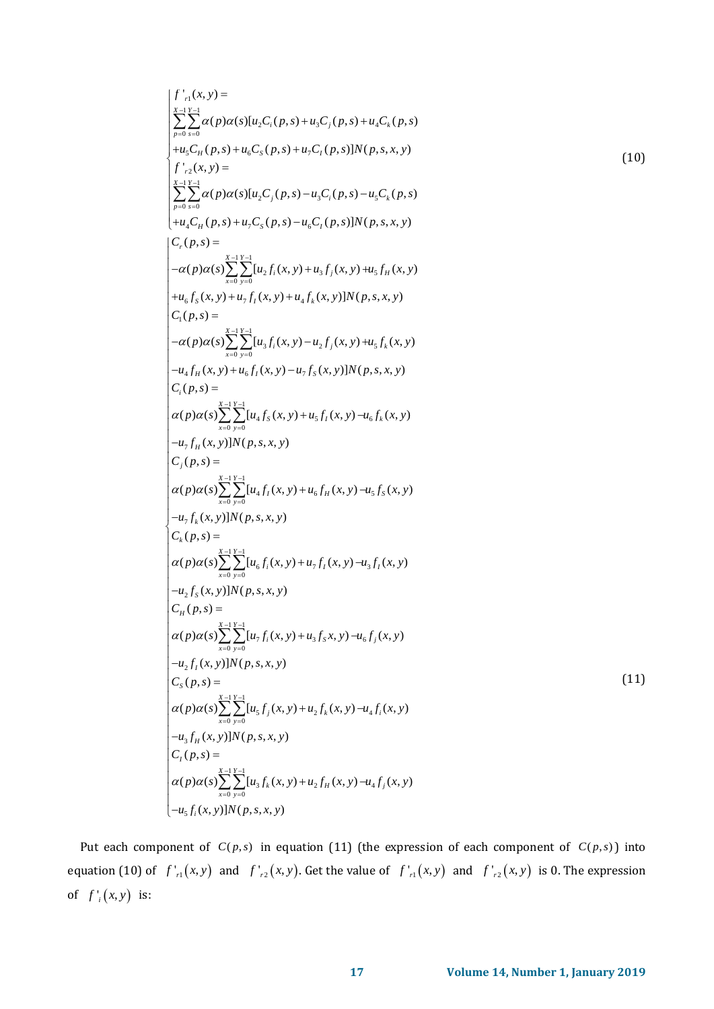$$
\int_{r=0}^{r} \sum_{r=0}^{x-1} \sum_{r=0}^{x-1} \sum_{r=0}^{x-1} \sum_{r=0}^{x-1} \sum_{r=0}^{x-1} \sum_{r=0}^{x-1} \sum_{r=0}^{x-1} \sum_{r=0}^{x-1} \sum_{r=0}^{x-1} \sum_{r=0}^{x-1} \sum_{r=0}^{x-1} \sum_{r=0}^{x-1} \sum_{r=0}^{x-1} \sum_{r=0}^{x-1} \sum_{r=0}^{x-1} \sum_{r=0}^{x-1} \sum_{r=0}^{x-1} \sum_{r=0}^{x-1} \sum_{r=0}^{x-1} \sum_{r=0}^{x-1} \sum_{r=0}^{x-1} \sum_{r=0}^{x-1} \sum_{r=0}^{x-1} \sum_{r=0}^{x-1} \sum_{r=0}^{x-1} \sum_{r=0}^{x-1} \sum_{r=0}^{x-1} \sum_{r=0}^{x-1} \sum_{r=0}^{x-1} \sum_{r=0}^{x-1} \sum_{r=0}^{x-1} \sum_{r=0}^{x-1} \sum_{r=0}^{x-1} \sum_{r=0}^{x-1} \sum_{r=0}^{x-1} \sum_{r=0}^{x-1} \sum_{r=0}^{x-1} \sum_{r=0}^{x-1} \sum_{r=0}^{x-1} \sum_{r=0}^{x-1} \sum_{r=0}^{x-1} \sum_{r=0}^{x-1} \sum_{r=0}^{x-1} \sum_{r=0}^{x-1} \sum_{r=0}^{x-1} \sum_{r=0}^{x-1} \sum_{r=0}^{x-1} \sum_{r=0}^{x-1} \sum_{r=0}^{x-1} \sum_{r=0}^{x-1} \sum_{r=0}^{x-1} \sum_{r=0}^{x-1} \sum_{r=0}^{x-1} \sum_{r=0}^{x-1} \sum_{r=0}^{x-1} \sum_{r=0}^{x-1} \sum_{r=0}^{x-1} \sum_{r=0}^{x-1} \sum_{r=0}^{x-1} \sum_{r=0}^{x-1} \sum_{r=0}^{x-1} \sum_{r=0}^{x-1} \sum_{r=0
$$

Put each component of  $C(p,s)$  in equation (11) (the expression of each component of  $C(p,s)$ ) into equation (10) of  $f'_{r1}(x, y)$  and  $f'_{r2}(x, y)$ . Get the value of  $f'_{r1}(x, y)$  and  $f'_{r2}(x, y)$  is 0. The expression of  $f'_i(x, y)$  is: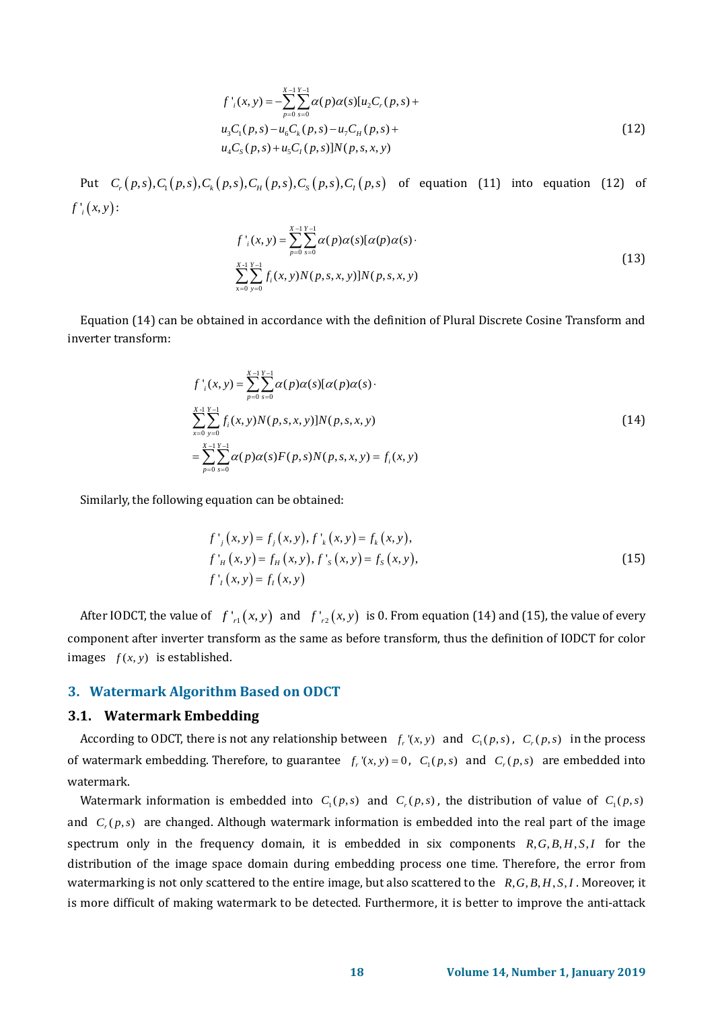$$
f'_{i}(x, y) = -\sum_{p=0}^{X-1} \sum_{s=0}^{Y-1} \alpha(p) \alpha(s) [u_{2}C_{r}(p, s) + u_{3}C_{1}(p, s) - u_{6}C_{k}(p, s) - u_{7}C_{H}(p, s) + u_{4}C_{S}(p, s) + u_{5}C_{I}(p, s)]N(p, s, x, y)
$$
\n(12)

 $u_4C_s(p,s) + u_5C_t(p,s)]N(p,s,x,y)$ <br>Put  $C_r(p,s)$ ,  $C_1(p,s)$ ,  $C_k(p,s)$ ,  $C_q(p,s)$ ,  $C_s(p,s)$ ,  $C_l(p,s)$  of equation (11) into equation (12) of  $f'_{i}(x, y)$ :

$$
f'_{i}(x, y) = \sum_{p=0}^{X-1} \sum_{s=0}^{Y-1} \alpha(p)\alpha(s)[\alpha(p)\alpha(s)]
$$
  

$$
\sum_{x=0}^{X-1} \sum_{y=0}^{Y-1} f_{i}(x, y)N(p, s, x, y)]N(p, s, x, y)
$$
 (13)

Equation (14) can be obtained in accordance with the definition of Plural Discrete Cosine Transform and inverter transform:

$$
f'_{i}(x, y) = \sum_{p=0}^{X-1} \sum_{s=0}^{Y-1} \alpha(p)\alpha(s)[\alpha(p)\alpha(s) \cdot \sum_{p=0}^{X-1} \sum_{s=0}^{Y-1} f_{i}(x, y)N(p, s, x, y)]N(p, s, x, y)
$$
\n
$$
= \sum_{p=0}^{X-1} \sum_{s=0}^{Y-1} \alpha(p)\alpha(s)F(p, s)N(p, s, x, y) = f_{i}(x, y)
$$
\n(14)

Similarly, the following equation can be obtained:

$$
f'_{j}(x, y) = f_{j}(x, y), f'_{k}(x, y) = f_{k}(x, y),
$$
  
\n
$$
f'_{H}(x, y) = f_{H}(x, y), f'_{s}(x, y) = f_{s}(x, y),
$$
  
\n
$$
f'_{I}(x, y) = f_{I}(x, y)
$$
\n(15)

After IODCT, the value of  $f'_{r1}(x, y)$  and  $f'_{r2}(x, y)$  is 0. From equation (14) and (15), the value of every component after inverter transform as the same as before transform, thus the definition of IODCT for color images  $f(x, y)$  is established.

## **3. Watermark Algorithm Based on ODCT**

### **3.1. Watermark Embedding**

According to ODCT, there is not any relationship between  $f_r(x, y)$  and  $C_1(p, s)$ ,  $C_r(p, s)$  in the process of watermark embedding. Therefore, to guarantee  $f_r(x, y) = 0$ ,  $C_1(p, s)$  and  $C_r(p, s)$  are embedded into watermark.

Watermark information is embedded into  $C_1(p,s)$  and  $C_r(p,s)$ , the distribution of value of  $C_1(p,s)$ and  $C_r(p,s)$  are changed. Although watermark information is embedded into the real part of the image spectrum only in the frequency domain, it is embedded in six components  $R, G, B, H, S, I$  for the distribution of the image space domain during embedding process one time. Therefore, the error from watermarking is not only scattered to the entire image, but also scattered to the  $R, G, B, H, S, I$ . Moreover, it is more difficult of making watermark to be detected. Furthermore, it is better to improve the anti-attack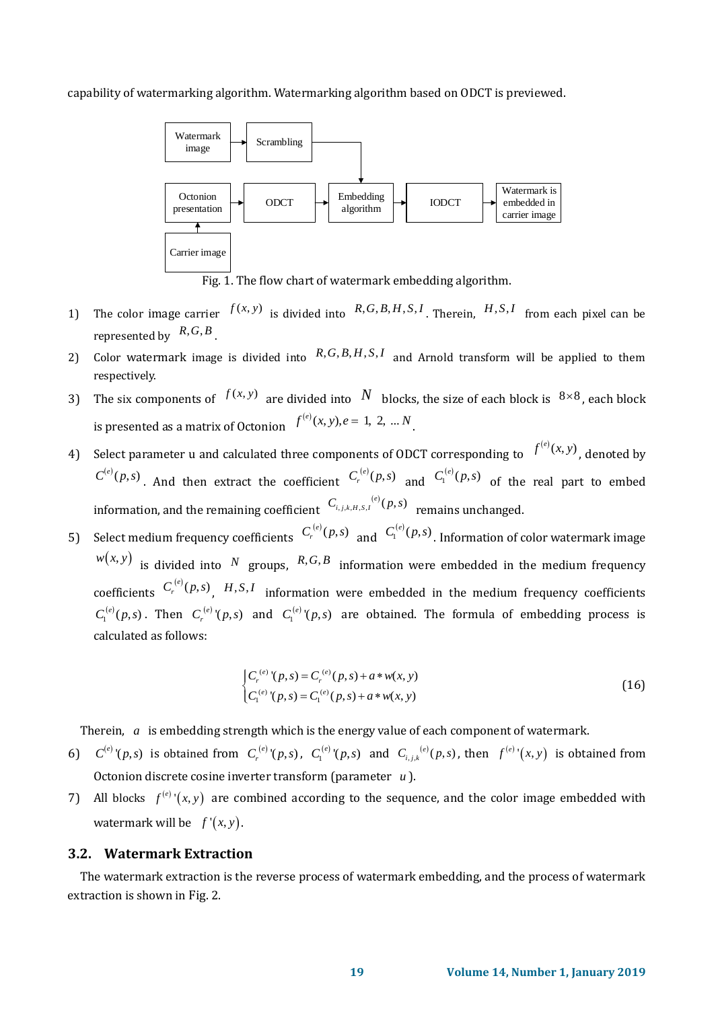capability of watermarking algorithm. Watermarking algorithm based on ODCT is previewed.



Fig. 1. The flow chart of watermark embedding algorithm.

- 1) The color image carrier  $f(x, y)$  is divided into  $R, G, B, H, S, I$ , Therein,  $H, S, I$  from each pixel can be represented by  $R, G, B$ .
- 2) Color watermark image is divided into  $R, G, B, H, S, I$  and Arnold transform will be applied to them respectively.
- 3) The six components of  $f(x, y)$  are divided into N blocks, the size of each block is  $8\times 8$ , each block is presented as a matrix of Octonion  $f^{(e)}(x, y), e = 1, 2, ... N$
- 4) Select parameter u and calculated three components of ODCT corresponding to  $f^{(e)}(x, y)$ , denoted by  $C^{(e)}(p,s)$ . And then extract the coefficient  $C^{(e)}(p,s)$  and  $C^{(e)}(p,s)$  of the real part to embed information, and the remaining coefficient  $C_{i,j,k,H,S,I}^{(e)}(p,s)$  remains unchanged.
- 5) Select medium frequency coefficients  $C_r^{(e)}(p,s)$  and  $C_l^{(e)}(p,s)$ . Information of color watermark image  $w(x, y)$  is divided into N groups, R,G,B information were embedded in the medium frequency coefficients  $C_r^{(e)}(p,s)$ , *H*,*S*,*I* information were embedded in the medium frequency coefficients  $C_1^{(e)}(p,s)$ . Then  $C_r^{(e)}(p,s)$  and  $C_1^{(e)}(p,s)$  are obtained. The formula of embedding process is calculated as follows:

$$
\begin{cases} C_r^{(e)}(p,s) = C_r^{(e)}(p,s) + a * w(x,y) \\ C_l^{(e)}(p,s) = C_l^{(e)}(p,s) + a * w(x,y) \end{cases}
$$
 (16)

Therein, a is embedding strength which is the energy value of each component of watermark.

- 6)  $C^{(e)}(p,s)$  is obtained from  $C_r^{(e)}(p,s)$ ,  $C_1^{(e)}(p,s)$  and  $C_{i,j,k}^{(e)}(p,s)$ , then  $f^{(e)}(x,y)$  is obtained from Octonion discrete cosine inverter transform (parameter *u* ).
- 7) All blocks  $f^{(e)}(x, y)$  are combined according to the sequence, and the color image embedded with watermark will be  $f'(x, y)$ .

#### **3.2. Watermark Extraction**

The watermark extraction is the reverse process of watermark embedding, and the process of watermark extraction is shown in Fig. 2.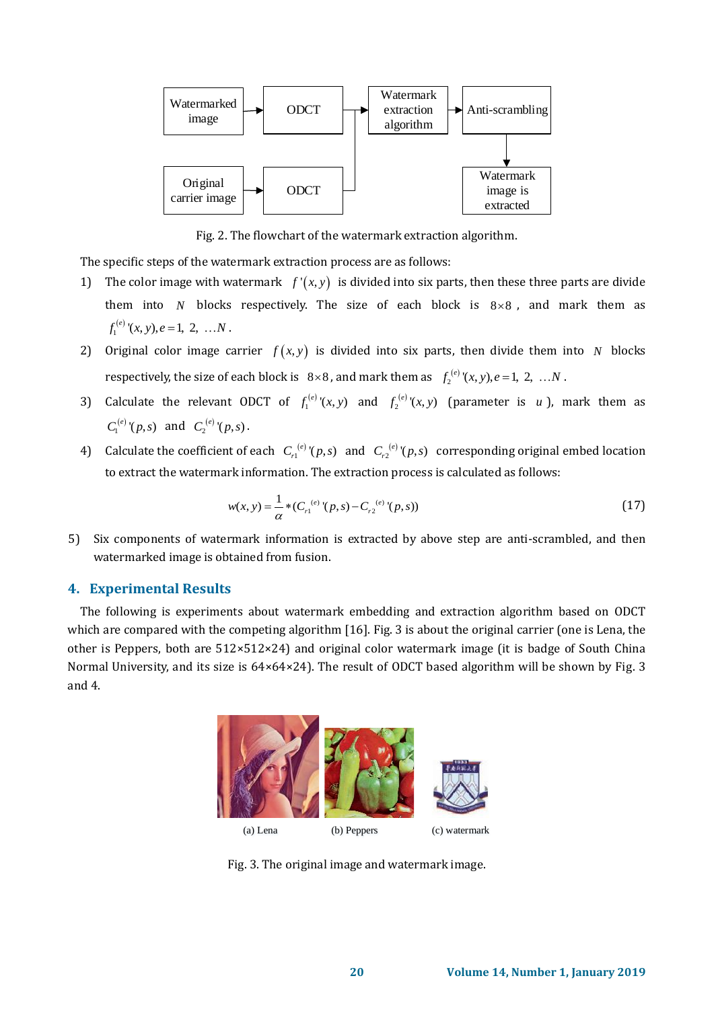

Fig. 2. The flowchart of the watermark extraction algorithm.

The specific steps of the watermark extraction process are as follows:

- 1) The color image with watermark  $f'(x, y)$  is divided into six parts, then these three parts are divide them into  $N$  blocks respectively. The size of each block is  $8 \times 8$ , and mark them as  $f_1^{(e)}(x, y), e = 1, 2, ... N$ .
- 2) Original color image carrier  $f(x, y)$  is divided into six parts, then divide them into N blocks respectively, the size of each block is  $8\times 8$ , and mark them as  $f_2^{(e)}(x, y)$ ,  $e = 1, 2, ...N$ .
- 3) Calculate the relevant ODCT of  $f_1^{(e)}(x, y)$  and  $f_2^{(e)}(x, y)$  (parameter is *u*), mark them as  $C_1^{(e)}(p,s)$  and  $C_2^{(e)}(p,s)$ .
- 4) Calculate the coefficient of each  $C_{r1}^{(e)}(p,s)$  and  $C_{r2}^{(e)}(p,s)$  corresponding original embed location to extract the watermark information. The extraction process is calculated as follows:

$$
w(x, y) = \frac{1}{\alpha} * (C_{r1}^{(e)}(p, s) - C_{r2}^{(e)}(p, s))
$$
\n(17)

5) Six components of watermark information is extracted by above step are anti-scrambled, and then watermarked image is obtained from fusion.

## **4. Experimental Results**

The following is experiments about watermark embedding and extraction algorithm based on ODCT which are compared with the competing algorithm [\[16\]](#page-10-2). Fig. 3 is about the original carrier (one is Lena, the other is Peppers, both are 512×512×24) and original color watermark image (it is badge of South China Normal University, and its size is 64×64×24). The result of ODCT based algorithm will be shown by Fig. 3 and 4.



Fig. 3. The original image and watermark image.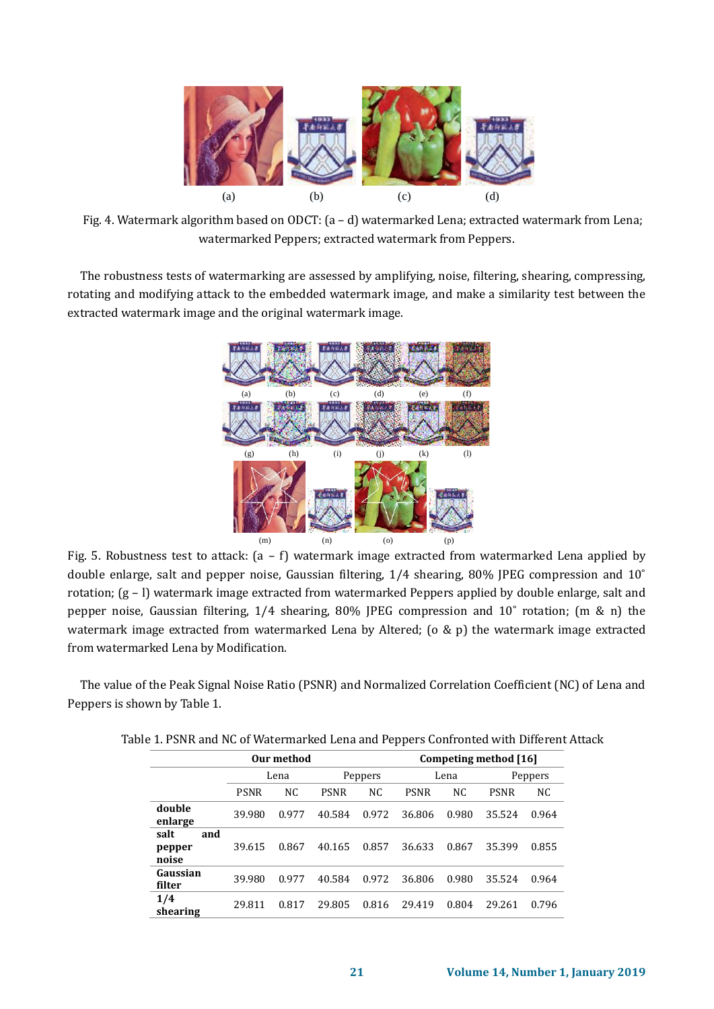

Fig. 4. Watermark algorithm based on ODCT: (a – d) watermarked Lena; extracted watermark from Lena; watermarked Peppers; extracted watermark from Peppers.

The robustness tests of watermarking are assessed by amplifying, noise, filtering, shearing, compressing, rotating and modifying attack to the embedded watermark image, and make a similarity test between the extracted watermark image and the original watermark image.



Fig. 5. Robustness test to attack: (a – f) watermark image extracted from watermarked Lena applied by double enlarge, salt and pepper noise, Gaussian filtering, 1/4 shearing, 80% JPEG compression and 10˚ rotation; (g – l) watermark image extracted from watermarked Peppers applied by double enlarge, salt and pepper noise, Gaussian filtering, 1/4 shearing, 80% JPEG compression and 10˚ rotation; (m & n) the watermark image extracted from watermarked Lena by Altered; (o & p) the watermark image extracted from watermarked Lena by Modification.

The value of the Peak Signal Noise Ratio (PSNR) and Normalized Correlation Coefficient (NC) of Lena and Peppers is shown by Table 1.

| Our method                     |             |       |             |                | Competing method [16] |                |             |       |  |
|--------------------------------|-------------|-------|-------------|----------------|-----------------------|----------------|-------------|-------|--|
|                                | Lena        |       | Peppers     |                | Lena                  |                | Peppers     |       |  |
|                                | <b>PSNR</b> | NC    | <b>PSNR</b> | N <sub>C</sub> | <b>PSNR</b>           | N <sub>C</sub> | <b>PSNR</b> | NC.   |  |
| double<br>enlarge              | 39.980      | 0.977 | 40.584      | 0.972          | 36.806                | 0.980          | 35.524      | 0.964 |  |
| salt<br>and<br>pepper<br>noise | 39.615      | 0.867 | 40.165      | 0.857          | 36.633                | 0.867          | 35.399      | 0.855 |  |
| Gaussian<br>filter             | 39.980      | 0.977 | 40.584      | 0.972          | 36.806                | 0.980          | 35.524      | 0.964 |  |
| 1/4<br>shearing                | 29.811      | 0.817 | 29.805      | 0.816          | 29.419                | 0.804          | 29.261      | 0.796 |  |

|  | Table 1. PSNR and NC of Watermarked Lena and Peppers Confronted with Different Attack |  |  |  |
|--|---------------------------------------------------------------------------------------|--|--|--|
|  |                                                                                       |  |  |  |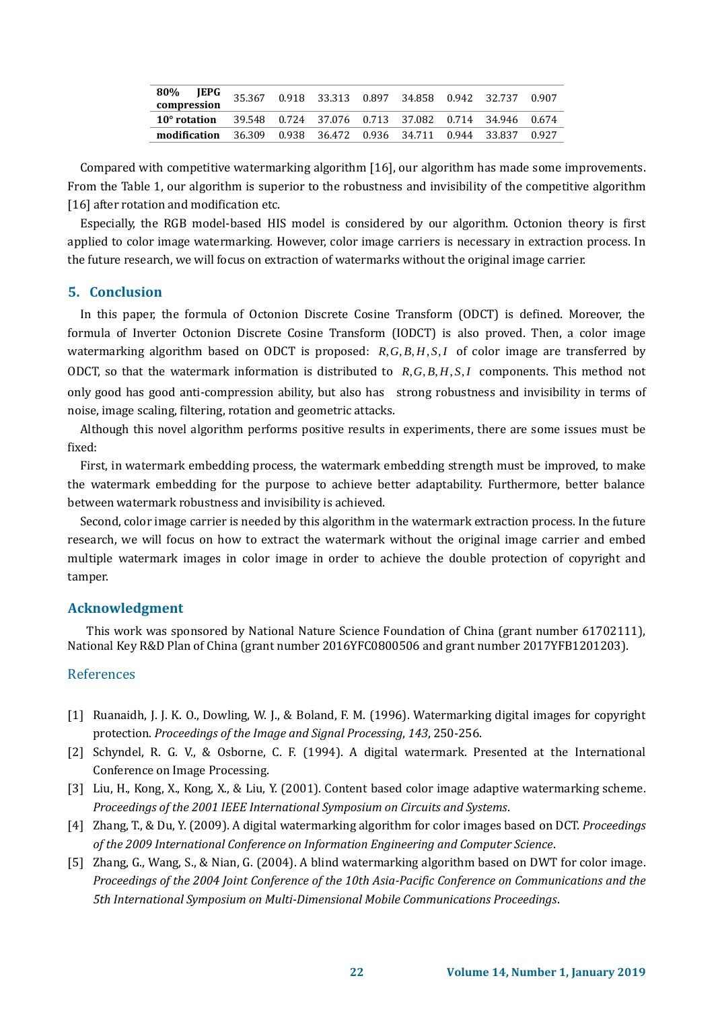| 80%<br>compression | <b>JEPG</b> |  | 35.367  0.918  33.313  0.897  34.858  0.942  32.737 |  |        | 0.907 |
|--------------------|-------------|--|-----------------------------------------------------|--|--------|-------|
| 10° rotation       |             |  | 39.548 0.724 37.076 0.713 37.082 0.714 34.946 0.674 |  |        |       |
| modification       |             |  | 36.309 0.938 36.472 0.936 34.711 0.944              |  | 33.837 | 0.927 |

Compared with competitive watermarking algorithm [\[16\]](#page-10-2), our algorithm has made some improvements. From the Table 1, our algorithm is superior to the robustness and invisibility of the competitive algorithm [\[16\]](#page-10-2) after rotation and modification etc.

Especially, the RGB model-based HIS model is considered by our algorithm. Octonion theory is first applied to color image watermarking. However, color image carriers is necessary in extraction process. In the future research, we will focus on extraction of watermarks without the original image carrier.

#### **5. Conclusion**

In this paper, the formula of Octonion Discrete Cosine Transform (ODCT) is defined. Moreover, the formula of Inverter Octonion Discrete Cosine Transform (IODCT) is also proved. Then, a color image watermarking algorithm based on ODCT is proposed:  $R, G, B, H, S, I$  of color image are transferred by ODCT, so that the watermark information is distributed to  $R, G, B, H, S, I$  components. This method not only good has good anti-compression ability, but also has strong robustness and invisibility in terms of noise, image scaling, filtering, rotation and geometric attacks.

Although this novel algorithm performs positive results in experiments, there are some issues must be fixed:

First, in watermark embedding process, the watermark embedding strength must be improved, to make the watermark embedding for the purpose to achieve better adaptability. Furthermore, better balance between watermark robustness and invisibility is achieved.

Second, color image carrier is needed by this algorithm in the watermark extraction process. In the future research, we will focus on how to extract the watermark without the original image carrier and embed multiple watermark images in color image in order to achieve the double protection of copyright and tamper.

### **Acknowledgment**

This work was sponsored by National Nature Science Foundation of China (grant number 61702111), National Key R&D Plan of China (grant number 2016YFC0800506 and grant number 2017YFB1201203).

#### References

- [1] Ruanaidh, J. J. K. O., Dowling, W. J., & Boland, F. M. (1996). Watermarking digital images for copyright protection. *Proceedings of the Image and Signal Processing*, *143*, 250-256.
- [2] Schyndel, R. G. V., & Osborne, C. F. (1994). A digital watermark. Presented at the International Conference on Image Processing.
- [3] Liu, H., Kong, X., Kong, X., & Liu, Y. (2001). Content based color image adaptive watermarking scheme. *Proceedings of the 2001 IEEE International Symposium on Circuits and Systems*.
- [4] Zhang, T., & Du, Y. (2009). A digital watermarking algorithm for color images based on DCT. *Proceedings of the 2009 International Conference on Information Engineering and Computer Science*.
- [5] Zhang, G., Wang, S., & Nian, G. (2004). A blind watermarking algorithm based on DWT for color image. *Proceedings of the 2004 Joint Conference of the 10th Asia-Pacific Conference on Communications and the 5th International Symposium on Multi-Dimensional Mobile Communications Proceedings*.